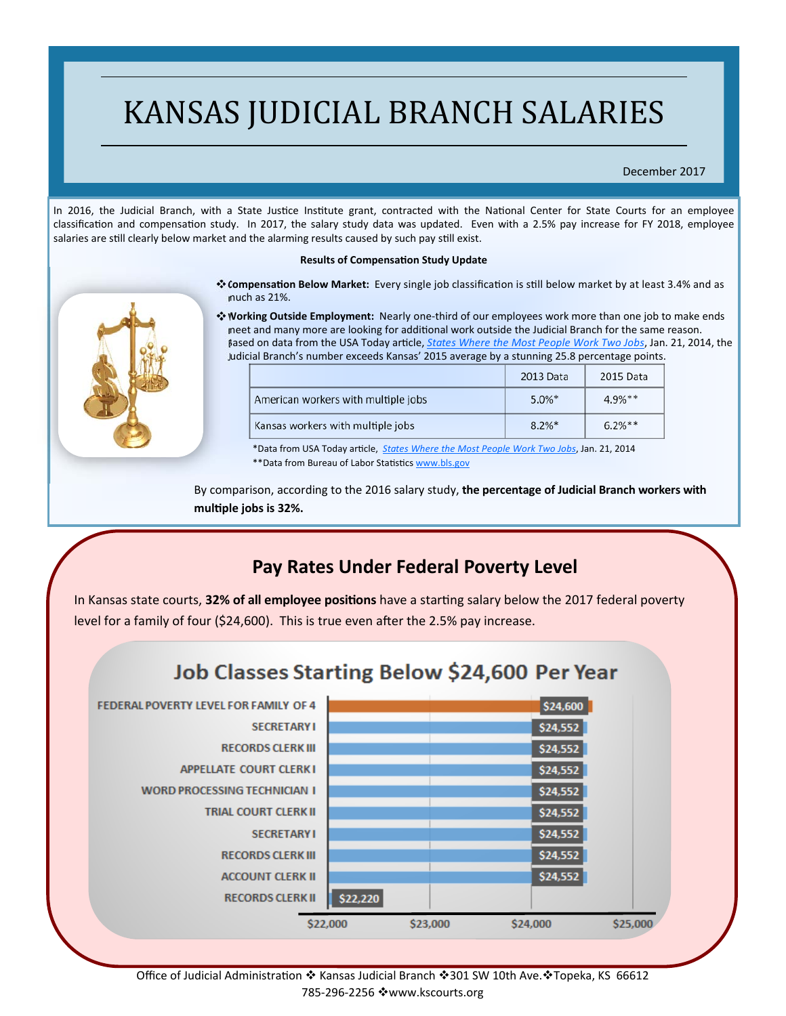# KANSAS JUDICIAL BRANCH SALARIES

#### December 2017

In 2016, the Judicial Branch, with a State Justice Institute grant, contracted with the National Center for State Courts for an employee classification and compensation study. In 2017, the salary study data was updated. Even with a 2.5% pay increase for FY 2018, employee salaries are still clearly below market and the alarming results caused by such pay still exist.

#### **Results of CompensaƟon Study Update**

- **<sup>◆</sup> Compensation Below Market:** Every single job classification is still below market by at least 3.4% and as much as 21%.
- **Working Outside Employment:** Nearly one‐third of our employees work more than one job to make ends meet and many more are looking for additional work outside the Judicial Branch for the same reason. Based on data from the USA Today article, *States Where the Most People Work Two Jobs*, Jan. 21, 2014, the Judicial Branch's number exceeds Kansas' 2015 average by a stunning 25.8 percentage points.

|                                     | 2013 Data | 2015 Data |
|-------------------------------------|-----------|-----------|
| American workers with multiple jobs | $5.0\%$ * | $4.9%***$ |
| Kansas workers with multiple jobs   | $8.2\%$ * | $6.2%***$ |

\*Data from USA Today arƟcle, *States Where the Most People Work Two Jobs*, Jan. 21, 2014 \*\* Data from Bureau of Labor Statistics www.bls.gov

By comparison, according to the 2016 salary study, **the percentage of Judicial Branch workers with mulƟple jobs is 32%.**

## **Pay Rates Under Federal Poverty Level**

In Kansas state courts, 32% of all employee positions have a starting salary below the 2017 federal poverty level for a family of four (\$24,600). This is true even after the 2.5% pay increase.

## Job Classes Starting Below \$24,600 Per Year



Office of Judicial Administration ❖ Kansas Judicial Branch ◆301 SW 10th Ave. ◆Topeka, KS 66612 785‐296‐2256 www.kscourts.org